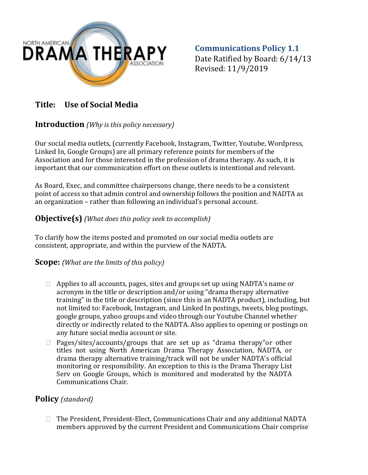

**Communications Policy 1.1** Date Ratified by Board: 6/14/13 Revised: 11/9/2019

# **Title: Use of Social Media**

### **Introduction** *(Why is this policy necessary)*

Our social media outlets, (currently Facebook, Instagram, Twitter, Youtube, Wordpress, Linked In, Google Groups) are all primary reference points for members of the Association and for those interested in the profession of drama therapy. As such, it is important that our communication effort on these outlets is intentional and relevant.

As Board, Exec, and committee chairpersons change, there needs to be a consistent point of access so that admin control and ownership follows the position and NADTA as an organization – rather than following an individual's personal account.

## **Objective(s)** *(What does this policy seek to accomplish)*

To clarify how the items posted and promoted on our social media outlets are consistent, appropriate, and within the purview of the NADTA.

#### **Scope:** *(What are the limits of this policy)*

- $\Box$  Applies to all accounts, pages, sites and groups set up using NADTA's name or acronym in the title or description and/or using "drama therapy alternative training" in the title or description (since this is an NADTA product), including, but not limited to: Facebook, Instagram, and Linked In postings, tweets, blog postings, google groups, yahoo groups and video through our Youtube Channel whether directly or indirectly related to the NADTA. Also applies to opening or postings on any future social media account or site.
- $\Box$  Pages/sites/accounts/groups that are set up as "drama therapy" or other titles not using North American Drama Therapy Association, NADTA, or drama therapy alternative training/track will not be under NADTA's official monitoring or responsibility. An exception to this is the Drama Therapy List Serv on Google Groups, which is monitored and moderated by the NADTA Communications Chair.

## **Policy** *(standard)*

 $\Box$  The President, President-Elect, Communications Chair and any additional NADTA members approved by the current President and Communications Chair comprise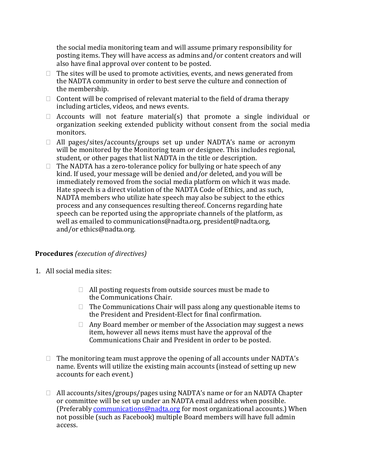the social media monitoring team and will assume primary responsibility for posting items. They will have access as admins and/or content creators and will also have final approval over content to be posted.

- $\Box$  The sites will be used to promote activities, events, and news generated from the NADTA community in order to best serve the culture and connection of the membership.
- $\Box$  Content will be comprised of relevant material to the field of drama therapy including articles, videos, and news events.
- $\Box$  Accounts will not feature material(s) that promote a single individual or organization seeking extended publicity without consent from the social media monitors.
- $\Box$  All pages/sites/accounts/groups set up under NADTA's name or acronym will be monitored by the Monitoring team or designee. This includes regional, student, or other pages that list NADTA in the title or description.
- $\Box$  The NADTA has a zero-tolerance policy for bullying or hate speech of any kind. If used, your message will be denied and/or deleted, and you will be immediately removed from the social media platform on which it was made. Hate speech is a direct violation of the NADTA Code of Ethics, and as such, NADTA members who utilize hate speech may also be subject to the ethics process and any consequences resulting thereof. Concerns regarding hate speech can be reported using the appropriate channels of the platform, as well as emailed to communications@nadta.org, president@nadta.org, and/or [ethics@nadta.org.](javascript:void(0);)

#### **Procedures** *(execution of directives)*

- 1. All social media sites:
	- $\Box$  All posting requests from outside sources must be made to the Communications Chair.
	- $\Box$  The Communications Chair will pass along any questionable items to the President and President‐Elect for final confirmation.
	- $\Box$  Any Board member or member of the Association may suggest a news item, however all news items must have the approval of the Communications Chair and President in order to be posted.
	- $\Box$  The monitoring team must approve the opening of all accounts under NADTA's name. Events will utilize the existing main accounts (instead of setting up new accounts for each event.)
	- □ All accounts/sites/groups/pages using NADTA's name or for an NADTA Chapter or committee will be set up under an NADTA email address when possible. (Preferably communications@nadta.org for most organizational accounts.) When not possible (such as Facebook) multiple Board members will have full admin access.